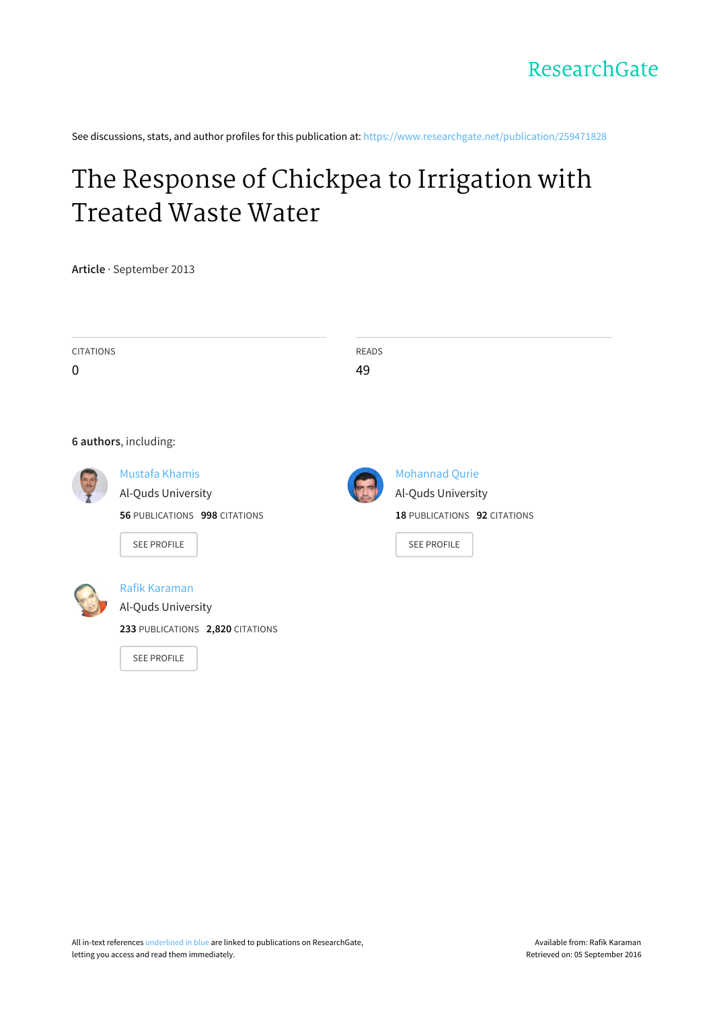See discussions, stats, and author profiles for this publication at: [https://www.researchgate.net/publication/259471828](https://www.researchgate.net/publication/259471828_The_Response_of_Chickpea_to_Irrigation_with_Treated_Waste_Water?enrichId=rgreq-516247ce3ceaa09fd1c9df89b5c0bc0a-XXX&enrichSource=Y292ZXJQYWdlOzI1OTQ3MTgyODtBUzoxMDIyNzMyODM3ODg4MTRAMTQwMTM5NTI2MDUzMQ%3D%3D&el=1_x_2)

# The Response of Chickpea to [Irrigation](https://www.researchgate.net/publication/259471828_The_Response_of_Chickpea_to_Irrigation_with_Treated_Waste_Water?enrichId=rgreq-516247ce3ceaa09fd1c9df89b5c0bc0a-XXX&enrichSource=Y292ZXJQYWdlOzI1OTQ3MTgyODtBUzoxMDIyNzMyODM3ODg4MTRAMTQwMTM5NTI2MDUzMQ%3D%3D&el=1_x_3) with Treated Waste Water

**Article** · September 2013

| <b>CITATIONS</b><br>0 |                                                                                                    | READS<br>49 |                                                                                                   |
|-----------------------|----------------------------------------------------------------------------------------------------|-------------|---------------------------------------------------------------------------------------------------|
|                       | 6 authors, including:                                                                              |             |                                                                                                   |
|                       | <b>Mustafa Khamis</b><br>Al-Quds University<br>56 PUBLICATIONS 998 CITATIONS<br><b>SEE PROFILE</b> |             | <b>Mohannad Qurie</b><br>Al-Quds University<br>18 PUBLICATIONS 92 CITATIONS<br><b>SEE PROFILE</b> |
|                       | Rafik Karaman<br>Al-Quds University<br>233 PUBLICATIONS 2,820 CITATIONS<br><b>SEE PROFILE</b>      |             |                                                                                                   |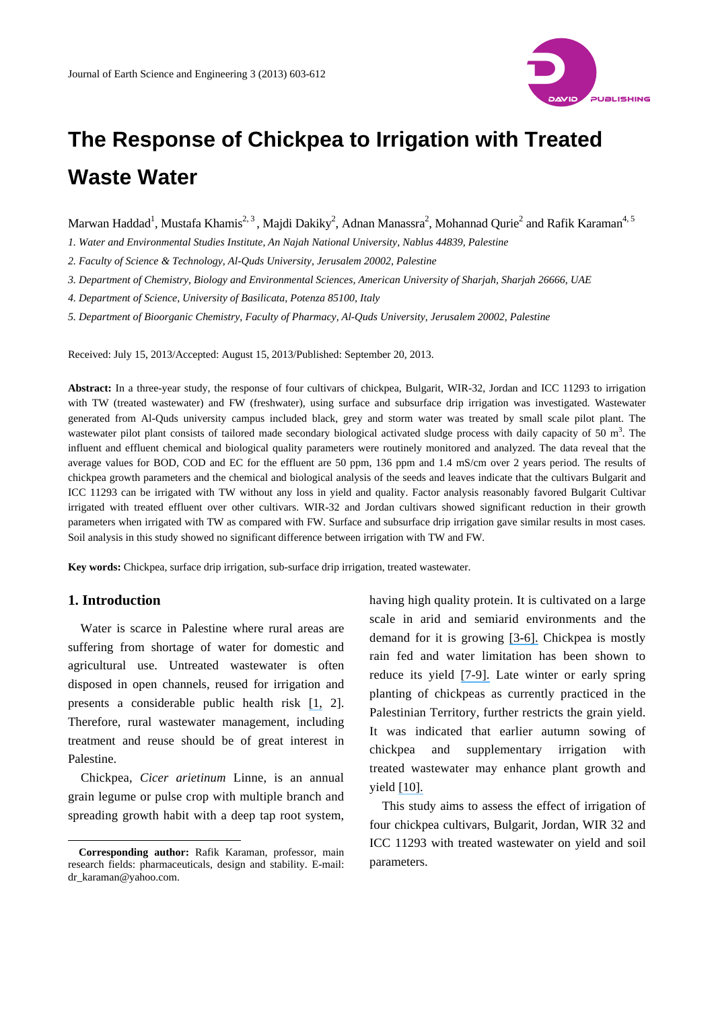

## **The Response of Chickpea to Irrigation with Treated Waste Water**

Marwan Haddad<sup>1</sup>, Mustafa Khamis<sup>2, 3</sup> , Majdi Dakiky<sup>2</sup>, Adnan Manassra<sup>2</sup>, Mohannad Qurie<sup>2</sup> and Rafik Karaman<sup>4, 5</sup>

*1. Water and Environmental Studies Institute, An Najah National University, Nablus 44839, Palestine* 

*2. Faculty of Science & Technology, Al-Quds University, Jerusalem 20002, Palestine* 

*3. Department of Chemistry, Biology and Environmental Sciences, American University of Sharjah, Sharjah 26666, UAE*

*4. Department of Science, University of Basilicata, Potenza 85100, Italy* 

*5. Department of Bioorganic Chemistry, Faculty of Pharmacy, Al-Quds University, Jerusalem 20002, Palestine* 

Received: July 15, 2013/Accepted: August 15, 2013/Published: September 20, 2013.

**Abstract:** In a three-year study, the response of four cultivars of chickpea, Bulgarit, WIR-32, Jordan and ICC 11293 to irrigation with TW (treated wastewater) and FW (freshwater), using surface and subsurface drip irrigation was investigated. Wastewater generated from Al-Quds university campus included black, grey and storm water was treated by small scale pilot plant. The wastewater pilot plant consists of tailored made secondary biological activated sludge process with daily capacity of 50  $m<sup>3</sup>$ . The influent and effluent chemical and biological quality parameters were routinely monitored and analyzed. The data reveal that the average values for BOD, COD and EC for the effluent are 50 ppm, 136 ppm and 1.4 mS/cm over 2 years period. The results of chickpea growth parameters and the chemical and biological analysis of the seeds and leaves indicate that the cultivars Bulgarit and ICC 11293 can be irrigated with TW without any loss in yield and quality. Factor analysis reasonably favored Bulgarit Cultivar irrigated with treated effluent over other cultivars. WIR-32 and Jordan cultivars showed significant reduction in their growth parameters when irrigated with TW as compared with FW. Surface and subsurface drip irrigation gave similar results in most cases. Soil analysis in this study showed no significant difference between irrigation with TW and FW.

**Key words:** Chickpea, surface drip irrigation, sub-surface drip irrigation, treated wastewater.

## **1. Introduction**

 $\overline{\phantom{a}}$ 

Water is scarce in Palestine where rural areas are suffering from shortage of water for domestic and agricultural use. Untreated wastewater is often disposed in open channels, reused for irrigation and presents a considerable public health risk [\[1,](https://www.researchgate.net/publication/245028103_Inland_Treatment_of_the_Brine_Generated_from_Reverse_Osmosis_Advanced_Membrane_Wastewater_Treatment_Plant_Using_Epuvalisation_System?el=1_x_8&enrichId=rgreq-516247ce3ceaa09fd1c9df89b5c0bc0a-XXX&enrichSource=Y292ZXJQYWdlOzI1OTQ3MTgyODtBUzoxMDIyNzMyODM3ODg4MTRAMTQwMTM5NTI2MDUzMQ==) 2]. Therefore, rural wastewater management, including treatment and reuse should be of great interest in Palestine.

Chickpea, *Cicer arietinum* Linne, is an annual grain legume or pulse crop with multiple branch and spreading growth habit with a deep tap root system, having high quality protein. It is cultivated on a large scale in arid and semiarid environments and the demand for it is growing [\[3-6\].](https://www.researchgate.net/publication/222234633_A_simulation_study_of_chickpea_crop_response_to_limited_irrigation_in_a_semiarid_environment?el=1_x_8&enrichId=rgreq-516247ce3ceaa09fd1c9df89b5c0bc0a-XXX&enrichSource=Y292ZXJQYWdlOzI1OTQ3MTgyODtBUzoxMDIyNzMyODM3ODg4MTRAMTQwMTM5NTI2MDUzMQ==) Chickpea is mostly rain fed and water limitation has been shown to reduce its yield [\[7-9\].](https://www.researchgate.net/publication/223397098_Adaptation_of_spring-sown_chickpea_to_the_Mediterranean_basin_I_Response_to_moisture_supply?el=1_x_8&enrichId=rgreq-516247ce3ceaa09fd1c9df89b5c0bc0a-XXX&enrichSource=Y292ZXJQYWdlOzI1OTQ3MTgyODtBUzoxMDIyNzMyODM3ODg4MTRAMTQwMTM5NTI2MDUzMQ==) Late winter or early spring planting of chickpeas as currently practiced in the Palestinian Territory, further restricts the grain yield. It was indicated that earlier autumn sowing of chickpea and supplementary irrigation with treated wastewater may enhance plant growth and yield [\[10\].](https://www.researchgate.net/publication/231901624_Response_of_Chickpea_to_Nitrogen_and_a_Comparison_of_the_Factors_Affecting_Chickpea_Seed_Yield_with_those_Affecting_Wheat_Grain_Yield?el=1_x_8&enrichId=rgreq-516247ce3ceaa09fd1c9df89b5c0bc0a-XXX&enrichSource=Y292ZXJQYWdlOzI1OTQ3MTgyODtBUzoxMDIyNzMyODM3ODg4MTRAMTQwMTM5NTI2MDUzMQ==)

This study aims to assess the effect of irrigation of four chickpea cultivars, Bulgarit, Jordan, WIR 32 and ICC 11293 with treated wastewater on yield and soil parameters.

**Corresponding author:** Rafik Karaman, professor, main research fields: pharmaceuticals, design and stability. E-mail: dr\_karaman@yahoo.com.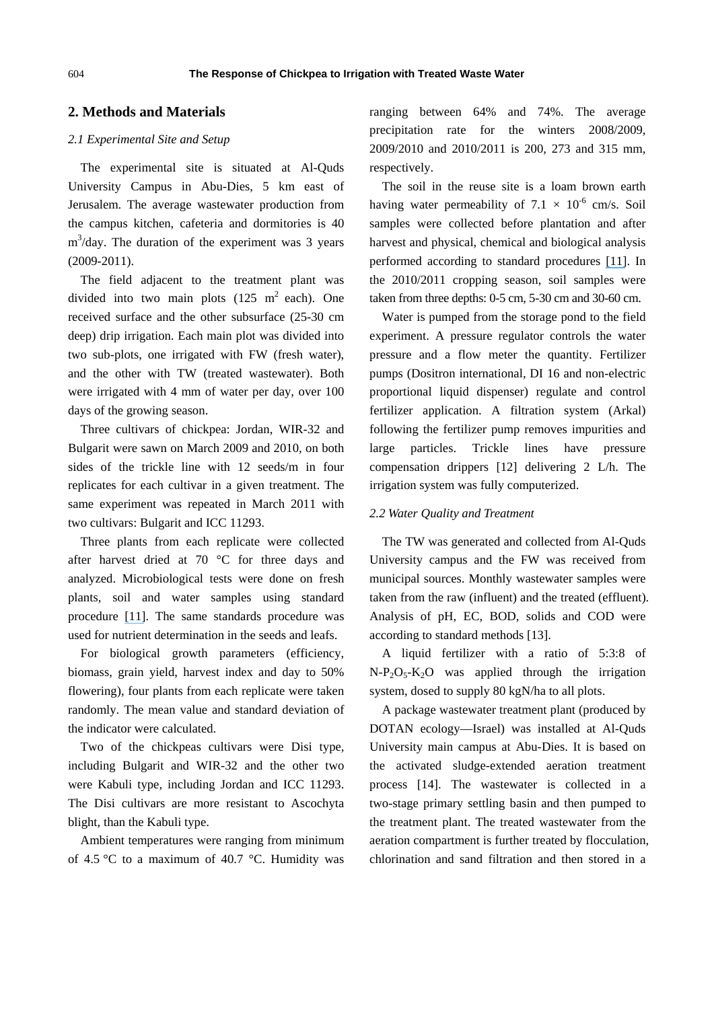## **2. Methods and Materials**

## *2.1 Experimental Site and Setup*

The experimental site is situated at Al-Quds University Campus in Abu-Dies, 5 km east of Jerusalem. The average wastewater production from the campus kitchen, cafeteria and dormitories is 40  $m<sup>3</sup>/day$ . The duration of the experiment was 3 years (2009-2011).

The field adjacent to the treatment plant was divided into two main plots  $(125 \text{ m}^2 \text{ each})$ . One received surface and the other subsurface (25-30 cm deep) drip irrigation. Each main plot was divided into two sub-plots, one irrigated with FW (fresh water), and the other with TW (treated wastewater). Both were irrigated with 4 mm of water per day, over 100 days of the growing season.

Three cultivars of chickpea: Jordan, WIR-32 and Bulgarit were sawn on March 2009 and 2010, on both sides of the trickle line with 12 seeds/m in four replicates for each cultivar in a given treatment. The same experiment was repeated in March 2011 with two cultivars: Bulgarit and ICC 11293.

Three plants from each replicate were collected after harvest dried at 70 °C for three days and analyzed. Microbiological tests were done on fresh plants, soil and water samples using standard procedure [\[11\]](https://www.researchgate.net/publication/256268816_A_Soil_and_Plant_Analysis_Manual_Adapted_for_the_West_Asia-North_Africa_Region?el=1_x_8&enrichId=rgreq-516247ce3ceaa09fd1c9df89b5c0bc0a-XXX&enrichSource=Y292ZXJQYWdlOzI1OTQ3MTgyODtBUzoxMDIyNzMyODM3ODg4MTRAMTQwMTM5NTI2MDUzMQ==). The same standards procedure was used for nutrient determination in the seeds and leafs.

For biological growth parameters (efficiency, biomass, grain yield, harvest index and day to 50% flowering), four plants from each replicate were taken randomly. The mean value and standard deviation of the indicator were calculated.

Two of the chickpeas cultivars were Disi type, including Bulgarit and WIR-32 and the other two were Kabuli type, including Jordan and ICC 11293. The Disi cultivars are more resistant to Ascochyta blight, than the Kabuli type.

Ambient temperatures were ranging from minimum of 4.5 °C to a maximum of 40.7 °C. Humidity was ranging between 64% and 74%. The average precipitation rate for the winters 2008/2009, 2009/2010 and 2010/2011 is 200, 273 and 315 mm, respectively.

The soil in the reuse site is a loam brown earth having water permeability of  $7.1 \times 10^{-6}$  cm/s. Soil samples were collected before plantation and after harvest and physical, chemical and biological analysis performed according to standard procedures [\[11\]](https://www.researchgate.net/publication/256268816_A_Soil_and_Plant_Analysis_Manual_Adapted_for_the_West_Asia-North_Africa_Region?el=1_x_8&enrichId=rgreq-516247ce3ceaa09fd1c9df89b5c0bc0a-XXX&enrichSource=Y292ZXJQYWdlOzI1OTQ3MTgyODtBUzoxMDIyNzMyODM3ODg4MTRAMTQwMTM5NTI2MDUzMQ==). In the 2010/2011 cropping season, soil samples were taken from three depths: 0-5 cm, 5-30 cm and 30-60 cm.

Water is pumped from the storage pond to the field experiment. A pressure regulator controls the water pressure and a flow meter the quantity. Fertilizer pumps (Dositron international, DI 16 and non-electric proportional liquid dispenser) regulate and control fertilizer application. A filtration system (Arkal) following the fertilizer pump removes impurities and large particles. Trickle lines have pressure compensation drippers [12] delivering 2 L/h. The irrigation system was fully computerized.

#### *2.2 Water Quality and Treatment*

The TW was generated and collected from Al-Quds University campus and the FW was received from municipal sources. Monthly wastewater samples were taken from the raw (influent) and the treated (effluent). Analysis of pH, EC, BOD, solids and COD were according to standard methods [13].

A liquid fertilizer with a ratio of 5:3:8 of  $N-P_2O_5-K_2O$  was applied through the irrigation system, dosed to supply 80 kgN/ha to all plots.

A package wastewater treatment plant (produced by DOTAN ecology—Israel) was installed at Al-Quds University main campus at Abu-Dies. It is based on the activated sludge-extended aeration treatment process [14]. The wastewater is collected in a two-stage primary settling basin and then pumped to the treatment plant. The treated wastewater from the aeration compartment is further treated by flocculation, chlorination and sand filtration and then stored in a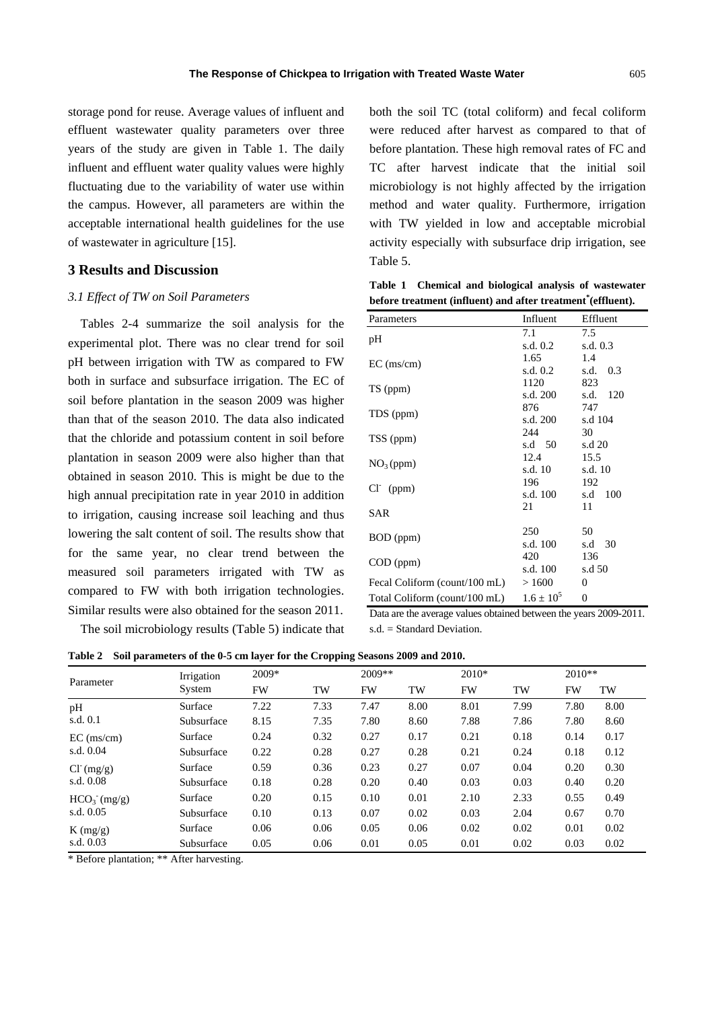storage pond for reuse. Average values of influent and effluent wastewater quality parameters over three years of the study are given in Table 1. The daily influent and effluent water quality values were highly fluctuating due to the variability of water use within the campus. However, all parameters are within the acceptable international health guidelines for the use of wastewater in agriculture [15].

#### **3 Results and Discussion**

#### *3.1 Effect of TW on Soil Parameters*

Tables 2-4 summarize the soil analysis for the experimental plot. There was no clear trend for soil pH between irrigation with TW as compared to FW both in surface and subsurface irrigation. The EC of soil before plantation in the season 2009 was higher than that of the season 2010. The data also indicated that the chloride and potassium content in soil before plantation in season 2009 were also higher than that obtained in season 2010. This is might be due to the high annual precipitation rate in year 2010 in addition to irrigation, causing increase soil leaching and thus lowering the salt content of soil. The results show that for the same year, no clear trend between the measured soil parameters irrigated with TW as compared to FW with both irrigation technologies. Similar results were also obtained for the season 2011.

The soil microbiology results (Table 5) indicate that

both the soil TC (total coliform) and fecal coliform were reduced after harvest as compared to that of before plantation. These high removal rates of FC and TC after harvest indicate that the initial soil microbiology is not highly affected by the irrigation method and water quality. Furthermore, irrigation with TW yielded in low and acceptable microbial activity especially with subsurface drip irrigation, see Table 5.

**Table 1 Chemical and biological analysis of wastewater before treatment (influent) and after treatment\* (effluent).** 

| Parameters                    | Influent       | Effluent         |
|-------------------------------|----------------|------------------|
|                               | 7.1            | 7.5              |
| pH                            | s.d. 0.2       | s.d. $0.3$       |
| $EC$ (ms/cm)                  | 1.65           | 1.4              |
|                               | s.d. 0.2       | 0.3<br>s.d.      |
|                               | 1120           | 823              |
| TS (ppm)                      | s.d. 200       | s.d.<br>120      |
|                               | 876            | 747              |
| TDS (ppm)                     | s.d. 200       | s.d 104          |
| TSS (ppm)                     | 244            | 30               |
|                               | s.d 50         | s.d 20           |
|                               | 12.4           | 15.5             |
| NO <sub>3</sub> (ppm)         | s.d. 10        | s.d. 10          |
| $Cl^-(ppm)$                   | 196            | 192              |
|                               | s.d. 100       | 100<br>s.d       |
| SAR                           | 21             | 11               |
|                               |                |                  |
| BOD (ppm)                     | 250            | 50               |
|                               | s.d. 100       | 30<br>s.d        |
| $COD$ (ppm)                   | 420            | 136              |
|                               | s.d. 100       | s.d 50           |
| Fecal Coliform (count/100 mL) | >1600          | 0                |
| Total Coliform (count/100 mL) | $1.6 \pm 10^5$ | $\boldsymbol{0}$ |

Data are the average values obtained between the years 2009-2011. s.d. = Standard Deviation.

**Table 2 Soil parameters of the 0-5 cm layer for the Cropping Seasons 2009 and 2010.** 

|               | Irrigation | $2009*$ |      |      | $2009**$ |      | $2010*$ |      | $2010**$ |  |
|---------------|------------|---------|------|------|----------|------|---------|------|----------|--|
| Parameter     | System     | FW      | TW   | FW   | TW       | FW   | TW      | FW   | TW       |  |
| pH            | Surface    | 7.22    | 7.33 | 7.47 | 8.00     | 8.01 | 7.99    | 7.80 | 8.00     |  |
| s.d. 0.1      | Subsurface | 8.15    | 7.35 | 7.80 | 8.60     | 7.88 | 7.86    | 7.80 | 8.60     |  |
| $EC$ (ms/cm)  | Surface    | 0.24    | 0.32 | 0.27 | 0.17     | 0.21 | 0.18    | 0.14 | 0.17     |  |
| s.d. $0.04$   | Subsurface | 0.22    | 0.28 | 0.27 | 0.28     | 0.21 | 0.24    | 0.18 | 0.12     |  |
| $Cl^{(mg/g)}$ | Surface    | 0.59    | 0.36 | 0.23 | 0.27     | 0.07 | 0.04    | 0.20 | 0.30     |  |
| s.d. 0.08     | Subsurface | 0.18    | 0.28 | 0.20 | 0.40     | 0.03 | 0.03    | 0.40 | 0.20     |  |
| $HCO3-(mg/g)$ | Surface    | 0.20    | 0.15 | 0.10 | 0.01     | 2.10 | 2.33    | 0.55 | 0.49     |  |
| s.d. 0.05     | Subsurface | 0.10    | 0.13 | 0.07 | 0.02     | 0.03 | 2.04    | 0.67 | 0.70     |  |
| $K$ (mg/g)    | Surface    | 0.06    | 0.06 | 0.05 | 0.06     | 0.02 | 0.02    | 0.01 | 0.02     |  |
| s.d. 0.03     | Subsurface | 0.05    | 0.06 | 0.01 | 0.05     | 0.01 | 0.02    | 0.03 | 0.02     |  |

\* Before plantation; \*\* After harvesting.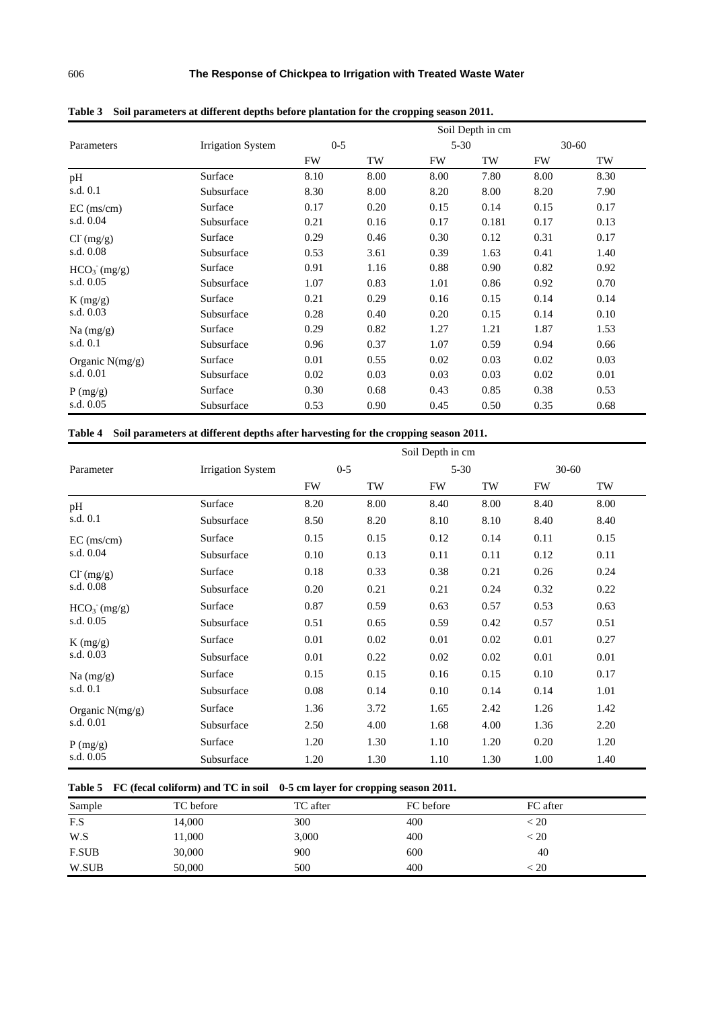|                         |                          | Soil Depth in cm |      |          |       |           |           |  |  |
|-------------------------|--------------------------|------------------|------|----------|-------|-----------|-----------|--|--|
| Parameters              | <b>Irrigation System</b> | $0 - 5$          |      | $5 - 30$ |       |           | $30 - 60$ |  |  |
|                         |                          | <b>FW</b>        | TW   | FW       | TW    | <b>FW</b> | TW        |  |  |
| pH                      | Surface                  | 8.10             | 8.00 | 8.00     | 7.80  | 8.00      | 8.30      |  |  |
| s.d. 0.1                | Subsurface               | 8.30             | 8.00 | 8.20     | 8.00  | 8.20      | 7.90      |  |  |
| $EC$ (ms/cm)            | Surface                  | 0.17             | 0.20 | 0.15     | 0.14  | 0.15      | 0.17      |  |  |
| s.d. 0.04               | Subsurface               | 0.21             | 0.16 | 0.17     | 0.181 | 0.17      | 0.13      |  |  |
| $Cl^{(mg/g)}$           | Surface                  | 0.29             | 0.46 | 0.30     | 0.12  | 0.31      | 0.17      |  |  |
| s.d. 0.08               | Subsurface               | 0.53             | 3.61 | 0.39     | 1.63  | 0.41      | 1.40      |  |  |
| HCO <sub>3</sub> (mg/g) | Surface                  | 0.91             | 1.16 | 0.88     | 0.90  | 0.82      | 0.92      |  |  |
| s.d. 0.05               | Subsurface               | 1.07             | 0.83 | 1.01     | 0.86  | 0.92      | 0.70      |  |  |
| K(mg/g)                 | Surface                  | 0.21             | 0.29 | 0.16     | 0.15  | 0.14      | 0.14      |  |  |
| s.d. 0.03               | Subsurface               | 0.28             | 0.40 | 0.20     | 0.15  | 0.14      | 0.10      |  |  |
| Na $(mg/g)$             | Surface                  | 0.29             | 0.82 | 1.27     | 1.21  | 1.87      | 1.53      |  |  |
| s.d. 0.1                | Subsurface               | 0.96             | 0.37 | 1.07     | 0.59  | 0.94      | 0.66      |  |  |
| Organic $N(mg/g)$       | Surface                  | 0.01             | 0.55 | 0.02     | 0.03  | 0.02      | 0.03      |  |  |
| s.d. 0.01               | Subsurface               | 0.02             | 0.03 | 0.03     | 0.03  | 0.02      | 0.01      |  |  |
| P(mg/g)                 | Surface                  | 0.30             | 0.68 | 0.43     | 0.85  | 0.38      | 0.53      |  |  |
| s.d. 0.05               | Subsurface               | 0.53             | 0.90 | 0.45     | 0.50  | 0.35      | 0.68      |  |  |

**Table 3 Soil parameters at different depths before plantation for the cropping season 2011.** 

## **Table 4 Soil parameters at different depths after harvesting for the cropping season 2011.**

|                         |                          |           | Soil Depth in cm |      |          |      |           |  |
|-------------------------|--------------------------|-----------|------------------|------|----------|------|-----------|--|
| Parameter               | <b>Irrigation System</b> | $0 - 5$   |                  |      | $5 - 30$ |      | $30 - 60$ |  |
|                         |                          | <b>FW</b> | TW               | FW   | TW       | FW   | TW        |  |
| pH                      | Surface                  | 8.20      | 8.00             | 8.40 | 8.00     | 8.40 | 8.00      |  |
| s.d. 0.1                | Subsurface               | 8.50      | 8.20             | 8.10 | 8.10     | 8.40 | 8.40      |  |
| $EC$ (ms/cm)            | Surface                  | 0.15      | 0.15             | 0.12 | 0.14     | 0.11 | 0.15      |  |
| s.d. 0.04               | Subsurface               | 0.10      | 0.13             | 0.11 | 0.11     | 0.12 | 0.11      |  |
| $Cl^{(mg/g)}$           | Surface                  | 0.18      | 0.33             | 0.38 | 0.21     | 0.26 | 0.24      |  |
| s.d. 0.08               | Subsurface               | 0.20      | 0.21             | 0.21 | 0.24     | 0.32 | 0.22      |  |
| HCO <sub>3</sub> (mg/g) | Surface                  | 0.87      | 0.59             | 0.63 | 0.57     | 0.53 | 0.63      |  |
| s.d. 0.05               | Subsurface               | 0.51      | 0.65             | 0.59 | 0.42     | 0.57 | 0.51      |  |
| K(mg/g)                 | Surface                  | 0.01      | 0.02             | 0.01 | 0.02     | 0.01 | 0.27      |  |
| s.d. 0.03               | Subsurface               | 0.01      | 0.22             | 0.02 | 0.02     | 0.01 | 0.01      |  |
| Na (mg/g)               | Surface                  | 0.15      | 0.15             | 0.16 | 0.15     | 0.10 | 0.17      |  |
| s.d. 0.1                | Subsurface               | 0.08      | 0.14             | 0.10 | 0.14     | 0.14 | 1.01      |  |
| Organic $N(mg/g)$       | Surface                  | 1.36      | 3.72             | 1.65 | 2.42     | 1.26 | 1.42      |  |
| s.d. 0.01               | Subsurface               | 2.50      | 4.00             | 1.68 | 4.00     | 1.36 | 2.20      |  |
| P(mg/g)                 | Surface                  | 1.20      | 1.30             | 1.10 | 1.20     | 0.20 | 1.20      |  |
| s.d. 0.05               | Subsurface               | 1.20      | 1.30             | 1.10 | 1.30     | 1.00 | 1.40      |  |

## **Table 5 FC (fecal coliform) and TC in soil 0-5 cm layer for cropping season 2011.**

| Sample       | TC before | TC after | FC before | FC after                             |
|--------------|-----------|----------|-----------|--------------------------------------|
| F.S          | 14,000    | 300      | 400       | $\stackrel{<}{\scriptstyle \sim} 20$ |
| W.S          | 11,000    | 3,000    | 400       | < 20                                 |
| <b>F.SUB</b> | 30,000    | 900      | 600       | 40                                   |
| W.SUB        | 50,000    | 500      | 400       | < 20                                 |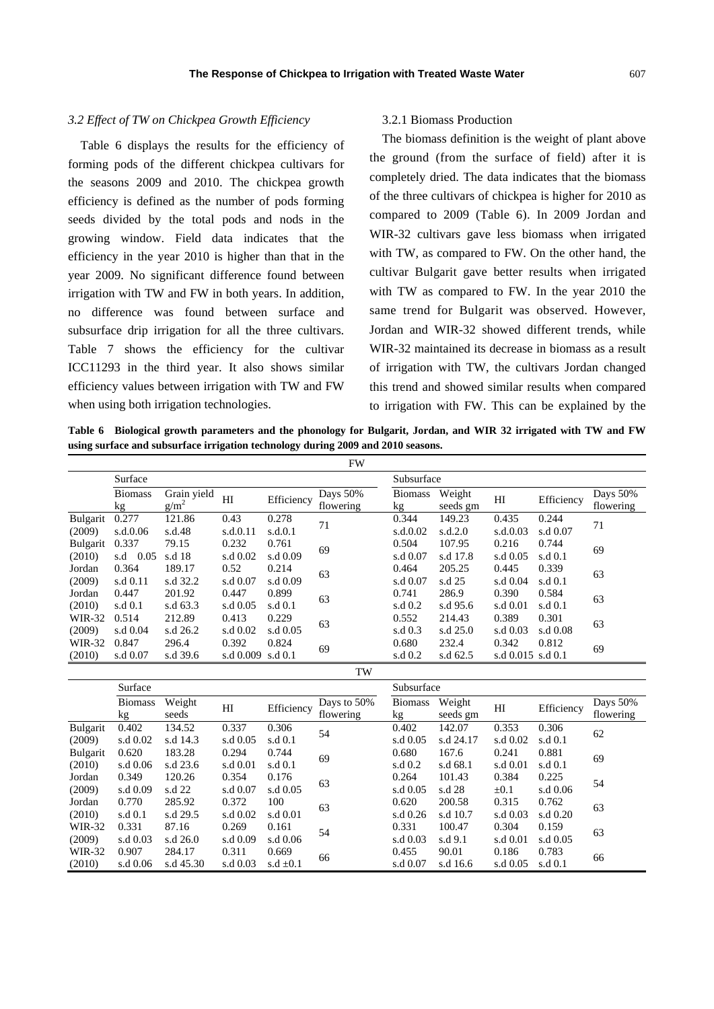#### *3.2 Effect of TW on Chickpea Growth Efficiency*

Table 6 displays the results for the efficiency of forming pods of the different chickpea cultivars for the seasons 2009 and 2010. The chickpea growth efficiency is defined as the number of pods forming seeds divided by the total pods and nods in the growing window. Field data indicates that the efficiency in the year 2010 is higher than that in the year 2009. No significant difference found between irrigation with TW and FW in both years. In addition, no difference was found between surface and subsurface drip irrigation for all the three cultivars. Table 7 shows the efficiency for the cultivar ICC11293 in the third year. It also shows similar efficiency values between irrigation with TW and FW when using both irrigation technologies.

## 3.2.1 Biomass Production

The biomass definition is the weight of plant above the ground (from the surface of field) after it is completely dried. The data indicates that the biomass of the three cultivars of chickpea is higher for 2010 as compared to 2009 (Table 6). In 2009 Jordan and WIR-32 cultivars gave less biomass when irrigated with TW, as compared to FW. On the other hand, the cultivar Bulgarit gave better results when irrigated with TW as compared to FW. In the year 2010 the same trend for Bulgarit was observed. However, Jordan and WIR-32 showed different trends, while WIR-32 maintained its decrease in biomass as a result of irrigation with TW, the cultivars Jordan changed this trend and showed similar results when compared to irrigation with FW. This can be explained by the

**Table 6 Biological growth parameters and the phonology for Bulgarit, Jordan, and WIR 32 irrigated with TW and FW using surface and subsurface irrigation technology during 2009 and 2010 seasons.**

|               |                      |                        |                   |               | <b>FW</b>             |                      |                    |                   |            |                       |
|---------------|----------------------|------------------------|-------------------|---------------|-----------------------|----------------------|--------------------|-------------------|------------|-----------------------|
|               | Surface              |                        |                   |               |                       | Subsurface           |                    |                   |            |                       |
|               | <b>Biomass</b><br>kg | Grain yield<br>$g/m^2$ | H <sub>I</sub>    | Efficiency    | Days 50%<br>flowering | <b>Biomass</b><br>kg | Weight<br>seeds gm | HI                | Efficiency | Days 50%<br>flowering |
| Bulgarit      | 0.277                | 121.86                 | 0.43              | 0.278         | 71                    | 0.344                | 149.23             | 0.435             | 0.244      | 71                    |
| (2009)        | s.d.0.06             | s.d.48                 | s.d.0.11          | s.d.0.1       |                       | s.d.0.02             | s.d.2.0            | s.d.0.03          | s.d 0.07   |                       |
| Bulgarit      | 0.337                | 79.15                  | 0.232             | 0.761         | 69                    | 0.504                | 107.95             | 0.216             | 0.744      | 69                    |
| (2010)        | s.d 0.05             | s.d 18                 | s.d 0.02          | s.d 0.09      |                       | s.d 0.07             | s.d 17.8           | s.d 0.05          | s.d $0.1$  |                       |
| Jordan        | 0.364                | 189.17                 | 0.52              | 0.214         | 63                    | 0.464                | 205.25             | 0.445             | 0.339      | 63                    |
| (2009)        | s.d 0.11             | s.d 32.2               | s.d 0.07          | s.d 0.09      |                       | s.d 0.07             | s.d 25             | s.d 0.04          | s.d 0.1    |                       |
| Jordan        | 0.447                | 201.92                 | 0.447             | 0.899         | 63                    | 0.741                | 286.9              | 0.390             | 0.584      | 63                    |
| (2010)        | s.d 0.1              | s.d 63.3               | s.d 0.05          | s.d 0.1       |                       | s.d 0.2              | s.d 95.6           | s.d 0.01          | s.d 0.1    |                       |
| WIR-32        | 0.514                | 212.89                 | 0.413             | 0.229         | 63                    | 0.552                | 214.43             | 0.389             | 0.301      | 63                    |
| (2009)        | s.d 0.04             | s.d 26.2               | s.d 0.02          | s.d 0.05      |                       | s.d 0.3              | s.d 25.0           | s.d 0.03          | s.d 0.08   |                       |
| <b>WIR-32</b> | 0.847                | 296.4                  | 0.392             | 0.824         | 69                    | 0.680                | 232.4              | 0.342             | 0.812      | 69                    |
| (2010)        | s.d 0.07             | s.d 39.6               | s.d 0.009 s.d 0.1 |               |                       | s.d 0.2              | s.d 62.5           | s.d 0.015 s.d 0.1 |            |                       |
|               |                      |                        |                   |               | TW                    |                      |                    |                   |            |                       |
|               | Surface              |                        |                   |               |                       | Subsurface           |                    |                   |            |                       |
|               | <b>Biomass</b>       | Weight                 |                   |               | Days to 50%           | <b>Biomass</b>       | Weight             |                   |            | Days 50%              |
|               | kg                   | seeds                  | H                 | Efficiency    | flowering             | kg                   | seeds gm           | H <sub>I</sub>    | Efficiency | flowering             |
| Bulgarit      | 0.402                | 134.52                 | 0.337             | 0.306         | 54                    | 0.402                | 142.07             | 0.353             | 0.306      | 62                    |
| (2009)        | s.d 0.02             | s.d 14.3               | s.d 0.05          | s.d 0.1       |                       | s.d 0.05             | s.d 24.17          | s.d 0.02          | s.d 0.1    |                       |
| Bulgarit      | 0.620                | 183.28                 | 0.294             | 0.744         | 69                    | 0.680                | 167.6              | 0.241             | 0.881      | 69                    |
| (2010)        | s.d 0.06             | s.d 23.6               | s.d 0.01          | s.d 0.1       |                       | s.d 0.2              | s.d 68.1           | s.d 0.01          | s.d 0.1    |                       |
| Jordan        | 0.349                | 120.26                 | 0.354             | 0.176         | 63                    | 0.264                | 101.43             | 0.384             | 0.225      | 54                    |
| (2009)        | s.d 0.09             | s.d 22                 | s.d 0.07          | s.d 0.05      |                       | s.d 0.05             | s.d 28             | $\pm 0.1$         | s.d 0.06   |                       |
| Jordan        | 0.770                | 285.92                 | 0.372             | 100           | 63                    | 0.620                | 200.58             | 0.315             | 0.762      | 63                    |
| (2010)        | s.d 0.1              | s.d 29.5               | s.d 0.02          | s.d 0.01      |                       | s.d 0.26             | s.d 10.7           | s.d 0.03          | s.d 0.20   |                       |
| <b>WIR-32</b> | 0.331                | 87.16                  | 0.269             | 0.161         | 54                    | 0.331                | 100.47             | 0.304             | 0.159      | 63                    |
| (2009)        | s.d 0.03             | s.d 26.0               | s.d 0.09          | s.d 0.06      |                       | s.d 0.03             | s.d 9.1            | s.d 0.01          | s.d 0.05   |                       |
| <b>WIR-32</b> | 0.907                | 284.17                 | 0.311             | 0.669         | 66                    | 0.455                | 90.01              | 0.186             | 0.783      | 66                    |
| (2010)        | s.d 0.06             | s.d 45.30              | s.d 0.03          | s.d $\pm 0.1$ |                       | s.d 0.07             | s.d 16.6           | s.d 0.05          | s.d 0.1    |                       |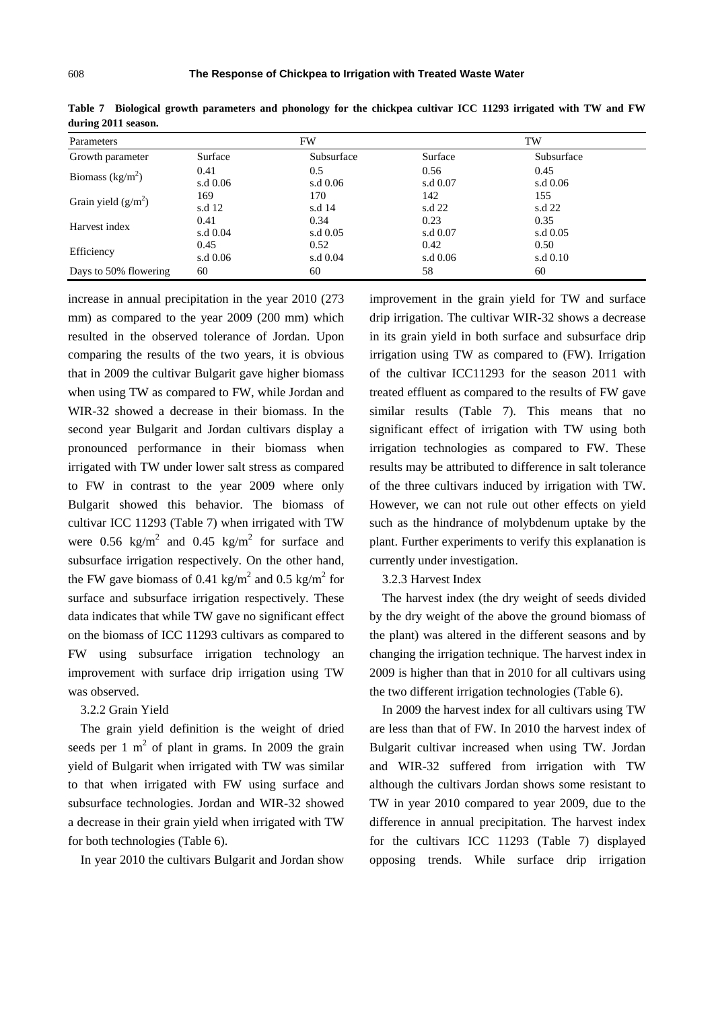| Parameters                  |          | FW         |          | TW         |  |  |
|-----------------------------|----------|------------|----------|------------|--|--|
| Growth parameter            | Surface  | Subsurface | Surface  | Subsurface |  |  |
|                             | 0.41     | 0.5        | 0.56     | 0.45       |  |  |
| Biomass ( $\text{kg/m}^2$ ) | s.d 0.06 | s.d 0.06   | s.d 0.07 | s.d 0.06   |  |  |
|                             | 169      | 170        | 142      | 155        |  |  |
| Grain yield $(g/m^2)$       | s.d 12   | s.d 14     | s.d 22   | s.d 22     |  |  |
| Harvest index               | 0.41     | 0.34       | 0.23     | 0.35       |  |  |
|                             | s.d 0.04 | s.d 0.05   | s.d 0.07 | s.d 0.05   |  |  |
| Efficiency                  | 0.45     | 0.52       | 0.42     | 0.50       |  |  |
|                             | s.d 0.06 | s.d 0.04   | s.d 0.06 | s.d 0.10   |  |  |
| Days to 50% flowering       | 60       | 60         | 58       | 60         |  |  |

**Table 7 Biological growth parameters and phonology for the chickpea cultivar ICC 11293 irrigated with TW and FW during 2011 season.** 

increase in annual precipitation in the year 2010 (273 mm) as compared to the year 2009 (200 mm) which resulted in the observed tolerance of Jordan. Upon comparing the results of the two years, it is obvious that in 2009 the cultivar Bulgarit gave higher biomass when using TW as compared to FW, while Jordan and WIR-32 showed a decrease in their biomass. In the second year Bulgarit and Jordan cultivars display a pronounced performance in their biomass when irrigated with TW under lower salt stress as compared to FW in contrast to the year 2009 where only Bulgarit showed this behavior. The biomass of cultivar ICC 11293 (Table 7) when irrigated with TW were 0.56 kg/m<sup>2</sup> and 0.45 kg/m<sup>2</sup> for surface and subsurface irrigation respectively. On the other hand, the FW gave biomass of 0.41 kg/m<sup>2</sup> and 0.5 kg/m<sup>2</sup> for surface and subsurface irrigation respectively. These data indicates that while TW gave no significant effect on the biomass of ICC 11293 cultivars as compared to FW using subsurface irrigation technology an improvement with surface drip irrigation using TW was observed.

#### 3.2.2 Grain Yield

The grain yield definition is the weight of dried seeds per 1  $m<sup>2</sup>$  of plant in grams. In 2009 the grain yield of Bulgarit when irrigated with TW was similar to that when irrigated with FW using surface and subsurface technologies. Jordan and WIR-32 showed a decrease in their grain yield when irrigated with TW for both technologies (Table 6).

In year 2010 the cultivars Bulgarit and Jordan show

improvement in the grain yield for TW and surface drip irrigation. The cultivar WIR-32 shows a decrease in its grain yield in both surface and subsurface drip irrigation using TW as compared to (FW). Irrigation of the cultivar ICC11293 for the season 2011 with treated effluent as compared to the results of FW gave similar results (Table 7). This means that no significant effect of irrigation with TW using both irrigation technologies as compared to FW. These results may be attributed to difference in salt tolerance of the three cultivars induced by irrigation with TW. However, we can not rule out other effects on yield such as the hindrance of molybdenum uptake by the plant. Further experiments to verify this explanation is currently under investigation.

#### 3.2.3 Harvest Index

The harvest index (the dry weight of seeds divided by the dry weight of the above the ground biomass of the plant) was altered in the different seasons and by changing the irrigation technique. The harvest index in 2009 is higher than that in 2010 for all cultivars using the two different irrigation technologies (Table 6).

In 2009 the harvest index for all cultivars using TW are less than that of FW. In 2010 the harvest index of Bulgarit cultivar increased when using TW. Jordan and WIR-32 suffered from irrigation with TW although the cultivars Jordan shows some resistant to TW in year 2010 compared to year 2009, due to the difference in annual precipitation. The harvest index for the cultivars ICC 11293 (Table 7) displayed opposing trends. While surface drip irrigation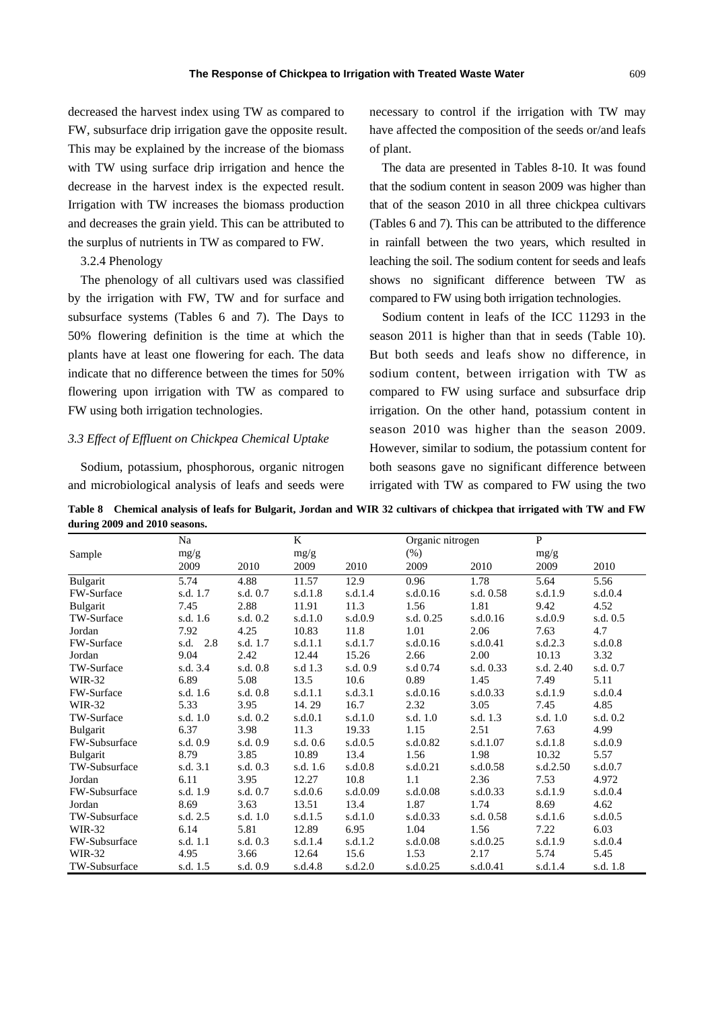decreased the harvest index using TW as compared to FW, subsurface drip irrigation gave the opposite result. This may be explained by the increase of the biomass with TW using surface drip irrigation and hence the decrease in the harvest index is the expected result. Irrigation with TW increases the biomass production and decreases the grain yield. This can be attributed to the surplus of nutrients in TW as compared to FW.

3.2.4 Phenology

The phenology of all cultivars used was classified by the irrigation with FW, TW and for surface and subsurface systems (Tables 6 and 7). The Days to 50% flowering definition is the time at which the plants have at least one flowering for each. The data indicate that no difference between the times for 50% flowering upon irrigation with TW as compared to FW using both irrigation technologies.

#### *3.3 Effect of Effluent on Chickpea Chemical Uptake*

Sodium, potassium, phosphorous, organic nitrogen and microbiological analysis of leafs and seeds were necessary to control if the irrigation with TW may have affected the composition of the seeds or/and leafs of plant.

The data are presented in Tables 8-10. It was found that the sodium content in season 2009 was higher than that of the season 2010 in all three chickpea cultivars (Tables 6 and 7). This can be attributed to the difference in rainfall between the two years, which resulted in leaching the soil. The sodium content for seeds and leafs shows no significant difference between TW as compared to FW using both irrigation technologies.

Sodium content in leafs of the ICC 11293 in the season 2011 is higher than that in seeds (Table 10). But both seeds and leafs show no difference, in sodium content, between irrigation with TW as compared to FW using surface and subsurface drip irrigation. On the other hand, potassium content in season 2010 was higher than the season 2009. However, similar to sodium, the potassium content for both seasons gave no significant difference between irrigated with TW as compared to FW using the two

**Table 8 Chemical analysis of leafs for Bulgarit, Jordan and WIR 32 cultivars of chickpea that irrigated with TW and FW during 2009 and 2010 seasons.** 

|                   | Na          |          | K        |          | Organic nitrogen |           | $\mathbf{P}$ |           |
|-------------------|-------------|----------|----------|----------|------------------|-----------|--------------|-----------|
| Sample            | mg/g        |          | mg/g     |          | (% )             |           | mg/g         |           |
|                   | 2009        | 2010     | 2009     | 2010     | 2009             | 2010      | 2009         | 2010      |
| Bulgarit          | 5.74        | 4.88     | 11.57    | 12.9     | 0.96             | 1.78      | 5.64         | 5.56      |
| FW-Surface        | s.d. 1.7    | s.d. 0.7 | s.d.1.8  | s.d.1.4  | s.d.0.16         | s.d. 0.58 | s.d.1.9      | s.d.0.4   |
| Bulgarit          | 7.45        | 2.88     | 11.91    | 11.3     | 1.56             | 1.81      | 9.42         | 4.52      |
| <b>TW-Surface</b> | s.d. 1.6    | s.d. 0.2 | s.d.1.0  | s.d.0.9  | s.d. 0.25        | s.d.0.16  | s.d.0.9      | s.d. 0.5  |
| Jordan            | 7.92        | 4.25     | 10.83    | 11.8     | 1.01             | 2.06      | 7.63         | 4.7       |
| FW-Surface        | s.d.<br>2.8 | s.d. 1.7 | s.d.1.1  | s.d.1.7  | s.d.0.16         | s.d.0.41  | s.d.2.3      | $s.d.0.8$ |
| Jordan            | 9.04        | 2.42     | 12.44    | 15.26    | 2.66             | 2.00      | 10.13        | 3.32      |
| <b>TW-Surface</b> | s.d. 3.4    | s.d. 0.8 | s.d 1.3  | s.d. 0.9 | s.d 0.74         | s.d. 0.33 | s.d. 2.40    | s.d. 0.7  |
| <b>WIR-32</b>     | 6.89        | 5.08     | 13.5     | 10.6     | 0.89             | 1.45      | 7.49         | 5.11      |
| FW-Surface        | s.d. 1.6    | s.d. 0.8 | s.d.1.1  | s.d.3.1  | s.d.0.16         | s.d.0.33  | s.d.1.9      | s.d.0.4   |
| WIR-32            | 5.33        | 3.95     | 14.29    | 16.7     | 2.32             | 3.05      | 7.45         | 4.85      |
| <b>TW-Surface</b> | s.d. 1.0    | s.d. 0.2 | s.d.0.1  | s.d.1.0  | s.d. 1.0         | s.d. 1.3  | s.d. 1.0     | s.d. 0.2  |
| Bulgarit          | 6.37        | 3.98     | 11.3     | 19.33    | 1.15             | 2.51      | 7.63         | 4.99      |
| FW-Subsurface     | s.d. 0.9    | s.d. 0.9 | s.d. 0.6 | s.d.0.5  | s.d.0.82         | s.d.1.07  | s.d.1.8      | s.d.0.9   |
| Bulgarit          | 8.79        | 3.85     | 10.89    | 13.4     | 1.56             | 1.98      | 10.32        | 5.57      |
| TW-Subsurface     | s.d. 3.1    | s.d. 0.3 | s.d. 1.6 | s.d.0.8  | s.d.0.21         | s.d.0.58  | s.d.2.50     | s.d.0.7   |
| Jordan            | 6.11        | 3.95     | 12.27    | 10.8     | 1.1              | 2.36      | 7.53         | 4.972     |
| FW-Subsurface     | s.d. 1.9    | s.d. 0.7 | s.d.0.6  | s.d.0.09 | s.d.0.08         | s.d.0.33  | s.d.1.9      | s.d.0.4   |
| Jordan            | 8.69        | 3.63     | 13.51    | 13.4     | 1.87             | 1.74      | 8.69         | 4.62      |
| TW-Subsurface     | s.d. 2.5    | s.d. 1.0 | s.d.1.5  | s.d.1.0  | s.d.0.33         | s.d. 0.58 | s.d.1.6      | s.d.0.5   |
| WIR-32            | 6.14        | 5.81     | 12.89    | 6.95     | 1.04             | 1.56      | 7.22         | 6.03      |
| FW-Subsurface     | s.d. 1.1    | s.d. 0.3 | s.d.1.4  | s.d.1.2  | s.d.0.08         | s.d.0.25  | s.d.1.9      | s.d.0.4   |
| <b>WIR-32</b>     | 4.95        | 3.66     | 12.64    | 15.6     | 1.53             | 2.17      | 5.74         | 5.45      |
| TW-Subsurface     | s.d. 1.5    | s.d. 0.9 | s.d.4.8  | s.d.2.0  | s.d.0.25         | s.d.0.41  | s.d.1.4      | s.d. 1.8  |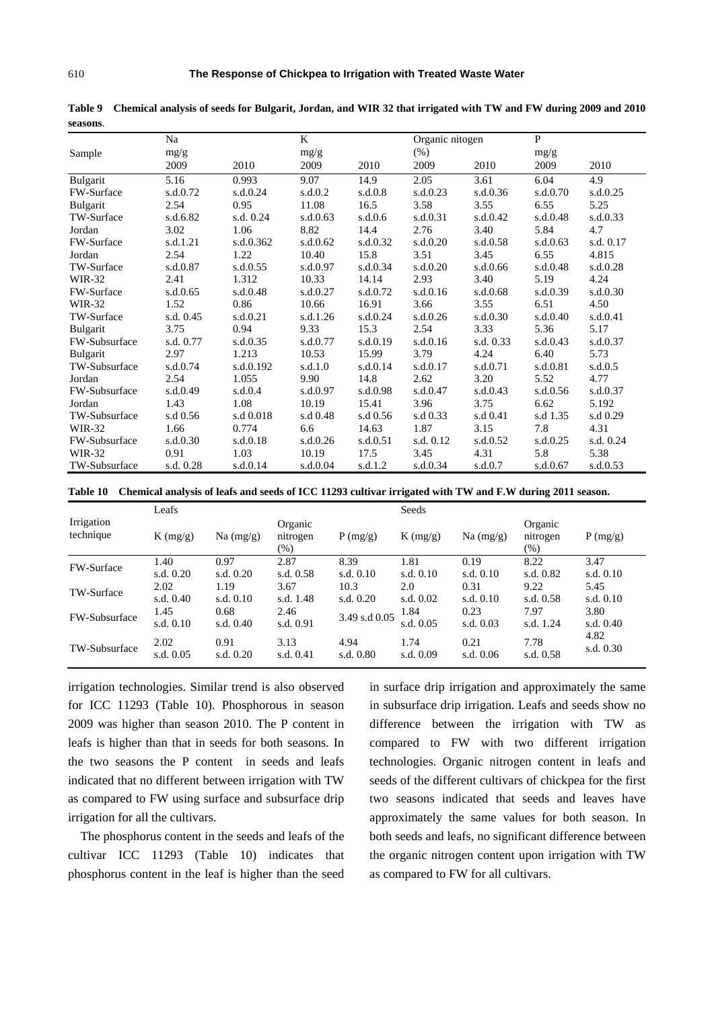|                      | Na        |           | K        |          | Organic nitogen |           | P        |           |
|----------------------|-----------|-----------|----------|----------|-----------------|-----------|----------|-----------|
| Sample               | mg/g      |           | mg/g     |          | $(\% )$         |           | mg/g     |           |
|                      | 2009      | 2010      | 2009     | 2010     | 2009            | 2010      | 2009     | 2010      |
| Bulgarit             | 5.16      | 0.993     | 9.07     | 14.9     | 2.05            | 3.61      | 6.04     | 4.9       |
| FW-Surface           | s.d.0.72  | s.d.0.24  | s.d.0.2  | s.d.0.8  | s.d.0.23        | s.d.0.36  | s.d.0.70 | s.d.0.25  |
| Bulgarit             | 2.54      | 0.95      | 11.08    | 16.5     | 3.58            | 3.55      | 6.55     | 5.25      |
| <b>TW-Surface</b>    | s.d.6.82  | s.d. 0.24 | s.d.0.63 | s.d.0.6  | s.d.0.31        | s.d.0.42  | s.d.0.48 | s.d.0.33  |
| Jordan               | 3.02      | 1.06      | 8.82     | 14.4     | 2.76            | 3.40      | 5.84     | 4.7       |
| <b>FW-Surface</b>    | s.d.1.21  | s.d.0.362 | s.d.0.62 | s.d.0.32 | s.d.0.20        | s.d.0.58  | s.d.0.63 | s.d. 0.17 |
| Jordan               | 2.54      | 1.22      | 10.40    | 15.8     | 3.51            | 3.45      | 6.55     | 4.815     |
| <b>TW-Surface</b>    | s.d.0.87  | s.d.0.55  | s.d.0.97 | s.d.0.34 | s.d.0.20        | s.d.0.66  | s.d.0.48 | s.d.0.28  |
| WIR-32               | 2.41      | 1.312     | 10.33    | 14.14    | 2.93            | 3.40      | 5.19     | 4.24      |
| FW-Surface           | s.d.0.65  | s.d.0.48  | s.d.0.27 | s.d.0.72 | s.d.0.16        | s.d.0.68  | s.d.0.39 | s.d.0.30  |
| <b>WIR-32</b>        | 1.52      | 0.86      | 10.66    | 16.91    | 3.66            | 3.55      | 6.51     | 4.50      |
| TW-Surface           | s.d. 0.45 | s.d.0.21  | s.d.1.26 | s.d.0.24 | s.d.0.26        | s.d.0.30  | s.d.0.40 | s.d.0.41  |
| Bulgarit             | 3.75      | 0.94      | 9.33     | 15.3     | 2.54            | 3.33      | 5.36     | 5.17      |
| FW-Subsurface        | s.d. 0.77 | s.d.0.35  | s.d.0.77 | s.d.0.19 | s.d.0.16        | s.d. 0.33 | s.d.0.43 | s.d.0.37  |
| Bulgarit             | 2.97      | 1.213     | 10.53    | 15.99    | 3.79            | 4.24      | 6.40     | 5.73      |
| TW-Subsurface        | s.d.0.74  | s.d.0.192 | s.d.1.0  | s.d.0.14 | s.d.0.17        | s.d.0.71  | s.d.0.81 | s.d.0.5   |
| Jordan               | 2.54      | 1.055     | 9.90     | 14.8     | 2.62            | 3.20      | 5.52     | 4.77      |
| FW-Subsurface        | s.d.0.49  | s.d.0.4   | s.d.0.97 | s.d.0.98 | s.d.0.47        | s.d.0.43  | s.d.0.56 | s.d.0.37  |
| Jordan               | 1.43      | 1.08      | 10.19    | 15.41    | 3.96            | 3.75      | 6.62     | 5.192     |
| TW-Subsurface        | s.d 0.56  | s.d 0.018 | s.d 0.48 | s.d 0.56 | s.d 0.33        | s.d 0.41  | s.d 1.35 | s.d 0.29  |
| <b>WIR-32</b>        | 1.66      | 0.774     | 6.6      | 14.63    | 1.87            | 3.15      | 7.8      | 4.31      |
| FW-Subsurface        | s.d.0.30  | s.d.0.18  | s.d.0.26 | s.d.0.51 | s.d. 0.12       | s.d.0.52  | s.d.0.25 | s.d. 0.24 |
| <b>WIR-32</b>        | 0.91      | 1.03      | 10.19    | 17.5     | 3.45            | 4.31      | 5.8      | 5.38      |
| <b>TW-Subsurface</b> | s.d. 0.28 | s.d.0.14  | s.d.0.04 | s.d.1.2  | s.d.0.34        | s.d.0.7   | s.d.0.67 | s.d.0.53  |

**Table 9 Chemical analysis of seeds for Bulgarit, Jordan, and WIR 32 that irrigated with TW and FW during 2009 and 2010 seasons**.

**Table 10 Chemical analysis of leafs and seeds of ICC 11293 cultivar irrigated with TW and F.W during 2011 season.**

|                         | Leafs               |                     |                               |               | Seeds               |                     |                               |                     |
|-------------------------|---------------------|---------------------|-------------------------------|---------------|---------------------|---------------------|-------------------------------|---------------------|
| Irrigation<br>technique | $K$ (mg/g)          | Na (mg/g)           | Organic<br>nitrogen<br>$(\%)$ | P(mg/g)       | K(mg/g)             | Na (mg/g)           | Organic<br>nitrogen<br>$(\%)$ | P(mg/g)             |
| FW-Surface              | 1.40                | 0.97                | 2.87                          | 8.39          | 1.81                | 0.19                | 8.22                          | 3.47                |
|                         | s.d. $0.20$         | s.d. $0.20$         | s.d. $0.58$                   | s.d. $0.10$   | s.d. $0.10$         | s.d. $0.10$         | s.d. 0.82                     | s.d. $0.10$         |
| TW-Surface              | 2.02                | 1.19                | 3.67                          | 10.3          | 2.0                 | 0.31                | 9.22                          | 5.45                |
|                         | s.d. $0.40$         | s.d. $0.10$         | s.d. 1.48                     | s.d. 0.20     | s.d. $0.02$         | s.d. $0.10$         | s.d. $0.58$                   | s.d. $0.10$         |
| FW-Subsurface           | 1.45<br>s.d. $0.10$ | 0.68<br>s.d. $0.40$ | 2.46<br>s.d. 0.91             | 3.49 s.d 0.05 | 1.84<br>s.d. $0.05$ | 0.23<br>s.d. $0.03$ | 7.97<br>s.d. 1.24             | 3.80<br>s.d. $0.40$ |
| TW-Subsurface           | 2.02                | 0.91                | 3.13                          | 4.94          | 1.74                | 0.21                | 7.78                          | 4.82                |
|                         | s.d. $0.05$         | s.d. $0.20$         | s.d. $0.41$                   | s.d. 0.80     | s.d. 0.09           | s.d. $0.06$         | s.d. 0.58                     | s.d. 0.30           |

irrigation technologies. Similar trend is also observed for ICC 11293 (Table 10). Phosphorous in season 2009 was higher than season 2010. The P content in leafs is higher than that in seeds for both seasons. In the two seasons the P content in seeds and leafs indicated that no different between irrigation with TW as compared to FW using surface and subsurface drip irrigation for all the cultivars.

The phosphorus content in the seeds and leafs of the cultivar ICC 11293 (Table 10) indicates that phosphorus content in the leaf is higher than the seed in surface drip irrigation and approximately the same in subsurface drip irrigation. Leafs and seeds show no difference between the irrigation with TW as compared to FW with two different irrigation technologies. Organic nitrogen content in leafs and seeds of the different cultivars of chickpea for the first two seasons indicated that seeds and leaves have approximately the same values for both season. In both seeds and leafs, no significant difference between the organic nitrogen content upon irrigation with TW as compared to FW for all cultivars.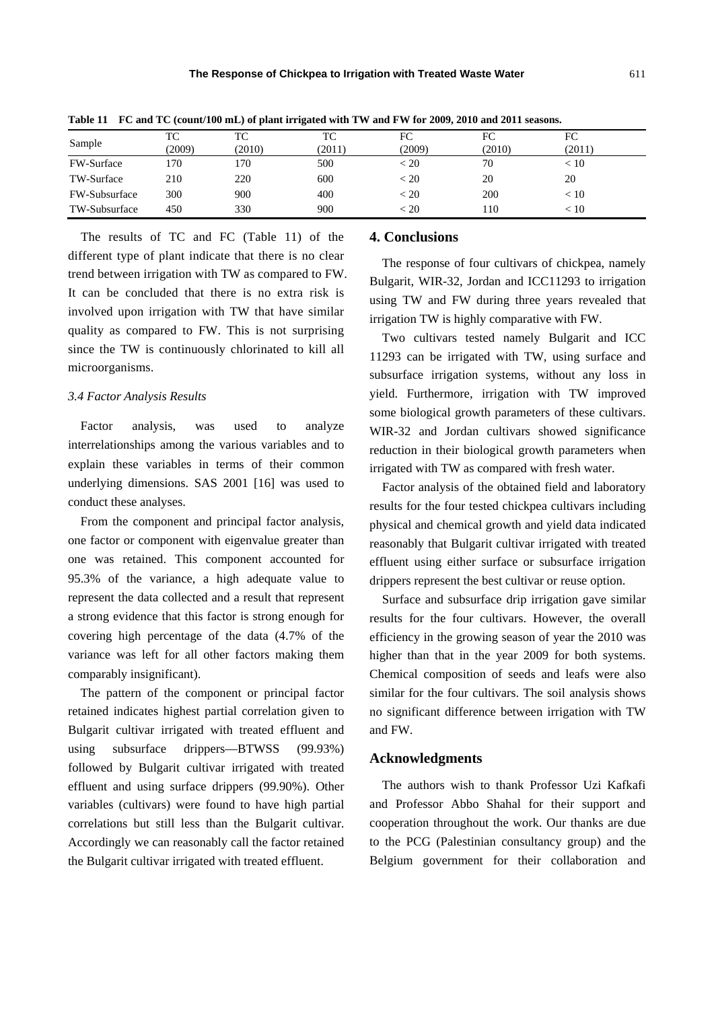| Sample               | ТC<br>(2009) | TC<br>(2010) | TC<br>(2011) | FC<br>(2009) | FC<br>(2010) | FC<br>(2011) |
|----------------------|--------------|--------------|--------------|--------------|--------------|--------------|
| <b>FW-Surface</b>    | l 70         | 170          | 500          | < 20         | 70           | < 10         |
| TW-Surface           | 210          | 220          | 600          | < 20         | 20           | 20           |
| <b>FW-Subsurface</b> | 300          | 900          | 400          | < 20         | 200          | < 10         |
| TW-Subsurface        | 450          | 330          | 900          | < 20         | 110          | < 10         |

**Table 11 FC and TC (count/100 mL) of plant irrigated with TW and FW for 2009, 2010 and 2011 seasons.**

The results of TC and FC (Table 11) of the different type of plant indicate that there is no clear trend between irrigation with TW as compared to FW. It can be concluded that there is no extra risk is involved upon irrigation with TW that have similar quality as compared to FW. This is not surprising since the TW is continuously chlorinated to kill all microorganisms.

#### *3.4 Factor Analysis Results*

Factor analysis, was used to analyze interrelationships among the various variables and to explain these variables in terms of their common underlying dimensions. SAS 2001 [16] was used to conduct these analyses.

From the component and principal factor analysis, one factor or component with eigenvalue greater than one was retained. This component accounted for 95.3% of the variance, a high adequate value to represent the data collected and a result that represent a strong evidence that this factor is strong enough for covering high percentage of the data (4.7% of the variance was left for all other factors making them comparably insignificant).

The pattern of the component or principal factor retained indicates highest partial correlation given to Bulgarit cultivar irrigated with treated effluent and using subsurface drippers—BTWSS (99.93%) followed by Bulgarit cultivar irrigated with treated effluent and using surface drippers (99.90%). Other variables (cultivars) were found to have high partial correlations but still less than the Bulgarit cultivar. Accordingly we can reasonably call the factor retained the Bulgarit cultivar irrigated with treated effluent.

## **4. Conclusions**

The response of four cultivars of chickpea, namely Bulgarit, WIR-32, Jordan and ICC11293 to irrigation using TW and FW during three years revealed that irrigation TW is highly comparative with FW.

Two cultivars tested namely Bulgarit and ICC 11293 can be irrigated with TW, using surface and subsurface irrigation systems, without any loss in yield. Furthermore, irrigation with TW improved some biological growth parameters of these cultivars. WIR-32 and Jordan cultivars showed significance reduction in their biological growth parameters when irrigated with TW as compared with fresh water.

Factor analysis of the obtained field and laboratory results for the four tested chickpea cultivars including physical and chemical growth and yield data indicated reasonably that Bulgarit cultivar irrigated with treated effluent using either surface or subsurface irrigation drippers represent the best cultivar or reuse option.

Surface and subsurface drip irrigation gave similar results for the four cultivars. However, the overall efficiency in the growing season of year the 2010 was higher than that in the year 2009 for both systems. Chemical composition of seeds and leafs were also similar for the four cultivars. The soil analysis shows no significant difference between irrigation with TW and FW.

#### **Acknowledgments**

The authors wish to thank Professor Uzi Kafkafi and Professor Abbo Shahal for their support and cooperation throughout the work. Our thanks are due to the PCG (Palestinian consultancy group) and the Belgium government for their collaboration and